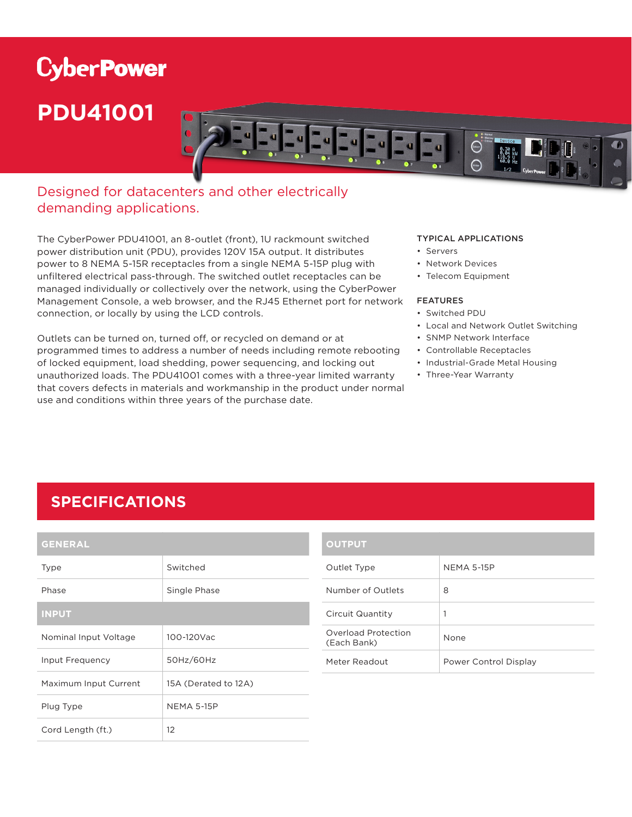# **CyberPower PDU41001**



## Designed for datacenters and other electrically demanding applications.

The CyberPower PDU41001, an 8-outlet (front), 1U rackmount switched power distribution unit (PDU), provides 120V 15A output. It distributes power to 8 NEMA 5-15R receptacles from a single NEMA 5-15P plug with unfiltered electrical pass-through. The switched outlet receptacles can be managed individually or collectively over the network, using the CyberPower Management Console, a web browser, and the RJ45 Ethernet port for network connection, or locally by using the LCD controls.

Outlets can be turned on, turned off, or recycled on demand or at programmed times to address a number of needs including remote rebooting of locked equipment, load shedding, power sequencing, and locking out unauthorized loads. The PDU41001 comes with a three-year limited warranty that covers defects in materials and workmanship in the product under normal use and conditions within three years of the purchase date.

#### TYPICAL APPLICATIONS

- Servers
- Network Devices
- Telecom Equipment

#### FEATURES

- Switched PDU
- Local and Network Outlet Switching
- SNMP Network Interface
- Controllable Receptacles
- Industrial-Grade Metal Housing
- Three-Year Warranty

# **SPECIFICATIONS**

| <b>GENERAL</b>        |                      |  |
|-----------------------|----------------------|--|
| <b>Type</b>           | Switched             |  |
| Phase                 | Single Phase         |  |
| <b>INPUT</b>          |                      |  |
| Nominal Input Voltage | 100-120Vac           |  |
| Input Frequency       | 50Hz/60Hz            |  |
| Maximum Input Current | 15A (Derated to 12A) |  |
| Plug Type             | <b>NEMA 5-15P</b>    |  |
| Cord Length (ft.)     | 12                   |  |

| <b>OUTPUT</b>                      |                       |
|------------------------------------|-----------------------|
| Outlet Type                        | <b>NEMA 5-15P</b>     |
| Number of Outlets                  | 8                     |
| Circuit Quantity                   | 1                     |
| Overload Protection<br>(Each Bank) | None                  |
| Meter Readout                      | Power Control Display |